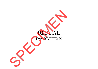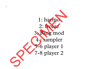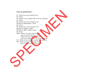## **Notes de spatialisation :**

- S1 : Front 8 sec, go to back in 8 sec
- S2 : Front
- S3 : Front 10 sec, rotation 360° in 30 sec, clockwise
- S4 : Front
- S5 : Front 10 sec, go to back in 4 sec
- FX Ped 8 ( Harmonizer) : Front
- S6 : Front
- S7 : Front 10 sec, go to back in 4 sec
- FX Ped 12 (Freeze) : Back
- FX Ped 13 (RM + LFO) : Front
- S8 : Front

 $\boldsymbol{C}$ 

- S9bis : Front 6 sec, go to back in 2 sec, rear 6 sec, go to front in 2 sec Front 6 sec, go to back in 10 sec rear 2 sec, rotation 360° in 16 sec, clockwise S13 : Front 12 sec, rotation 4 cycles  $360^\circ$  in 28 sec
- 
- S14 : Front 12 sec, go to back in 12 sec, rear 12 sec, so to side L/R in 12 sec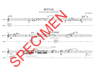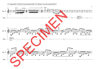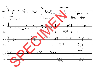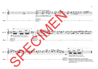